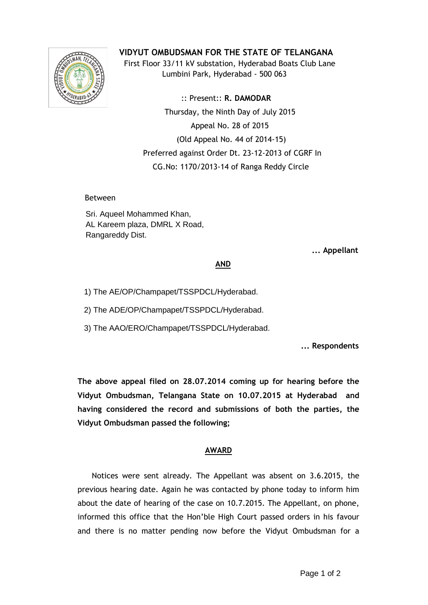

**VIDYUT OMBUDSMAN FOR THE STATE OF TELANGANA**

 First Floor 33/11 kV substation, Hyderabad Boats Club Lane Lumbini Park, Hyderabad - 500 063

 :: Present:: **R. DAMODAR** Thursday, the Ninth Day of July 2015 Appeal No. 28 of 2015 (Old Appeal No. 44 of 2014-15) Preferred against Order Dt. 23-12-2013 of CGRF In CG.No: 1170/2013-14 of Ranga Reddy Circle

Between

Sri. Aqueel Mohammed Khan, AL Kareem plaza, DMRL X Road, Rangareddy Dist.

 **... Appellant**

## **AND**

1) The AE/OP/Champapet/TSSPDCL/Hyderabad.

2) The ADE/OP/Champapet/TSSPDCL/Hyderabad.

3) The AAO/ERO/Champapet/TSSPDCL/Hyderabad.

**... Respondents**

**The above appeal filed on 28.07.2014 coming up for hearing before the Vidyut Ombudsman, Telangana State on 10.07.2015 at Hyderabad and having considered the record and submissions of both the parties, the Vidyut Ombudsman passed the following;**

## **AWARD**

 Notices were sent already. The Appellant was absent on 3.6.2015, the previous hearing date. Again he was contacted by phone today to inform him about the date of hearing of the case on 10.7.2015. The Appellant, on phone, informed this office that the Hon'ble High Court passed orders in his favour and there is no matter pending now before the Vidyut Ombudsman for a